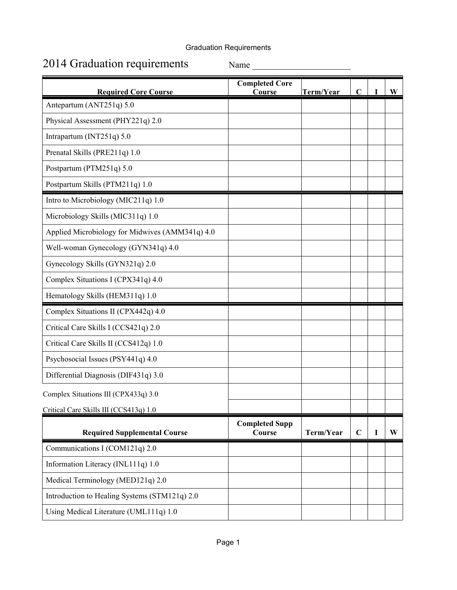## Graduation Requirements

## 2014 Graduation requirements Name

| <b>Required Core Course</b>                     | <b>Completed Core</b><br>Course | Term/Year | $\mathbf C$ |   | $\mathbf{W}$ |
|-------------------------------------------------|---------------------------------|-----------|-------------|---|--------------|
| Antepartum (ANT251q) 5.0                        |                                 |           |             |   |              |
| Physical Assessment (PHY221q) 2.0               |                                 |           |             |   |              |
| Intrapartum (INT251q) 5.0                       |                                 |           |             |   |              |
| Prenatal Skills (PRE211q) 1.0                   |                                 |           |             |   |              |
| Postpartum (PTM251q) 5.0                        |                                 |           |             |   |              |
| Postpartum Skills (PTM211q) 1.0                 |                                 |           |             |   |              |
| Intro to Microbiology (MIC211q) 1.0             |                                 |           |             |   |              |
| Microbiology Skills (MIC311q) 1.0               |                                 |           |             |   |              |
| Applied Microbiology for Midwives (AMM341q) 4.0 |                                 |           |             |   |              |
| Well-woman Gynecology (GYN341q) 4.0             |                                 |           |             |   |              |
| Gynecology Skills (GYN321q) 2.0                 |                                 |           |             |   |              |
| Complex Situations I (CPX341q) 4.0              |                                 |           |             |   |              |
| Hematology Skills (HEM311q) 1.0                 |                                 |           |             |   |              |
| Complex Situations II (CPX442q) 4.0             |                                 |           |             |   |              |
| Critical Care Skills I (CCS421q) 2.0            |                                 |           |             |   |              |
| Critical Care Skills II (CCS412q) 1.0           |                                 |           |             |   |              |
| Psychosocial Issues (PSY441q) 4.0               |                                 |           |             |   |              |
| Differential Diagnosis (DIF431q) 3.0            |                                 |           |             |   |              |
| Complex Situations III (CPX433q) 3.0            |                                 |           |             |   |              |
| Critical Care Skills III (CCS413q) 1.0          |                                 |           |             |   |              |
| <b>Required Supplemental Course</b>             | <b>Completed Supp</b><br>Course | Term/Year | $\mathbf C$ | I | W            |
| Communications I (COM121q) 2.0                  |                                 |           |             |   |              |
| Information Literacy (INL111q) 1.0              |                                 |           |             |   |              |
| Medical Terminology (MED121q) 2.0               |                                 |           |             |   |              |
| Introduction to Healing Systems (STM121q) 2.0   |                                 |           |             |   |              |
| Using Medical Literature (UML111q) 1.0          |                                 |           |             |   |              |